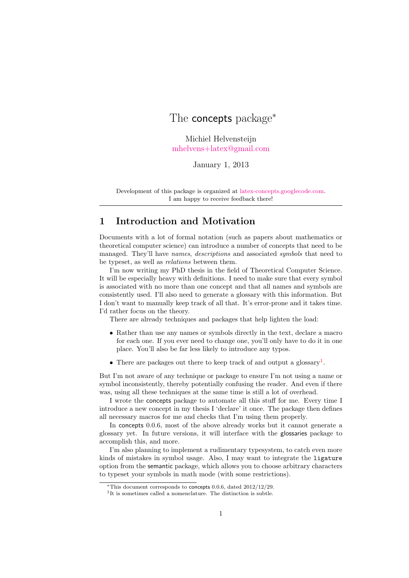# The **concepts** package<sup>∗</sup>

Michiel Helvensteijn [mhelvens+latex@gmail.com](mailto:mhelvens+latex@gmail.com)

January 1, 2013

Development of this package is organized at [latex-concepts.googlecode.com.](http://latex-concepts.googlecode.com) I am happy to receive feedback there!

## 1 Introduction and Motivation

Documents with a lot of formal notation (such as papers about mathematics or theoretical computer science) can introduce a number of concepts that need to be managed. They'll have names, descriptions and associated symbols that need to be typeset, as well as relations between them.

I'm now writing my PhD thesis in the field of Theoretical Computer Science. It will be especially heavy with definitions. I need to make sure that every symbol is associated with no more than one concept and that all names and symbols are consistently used. I'll also need to generate a glossary with this information. But I don't want to manually keep track of all that. It's error-prone and it takes time. I'd rather focus on the theory.

There are already techniques and packages that help lighten the load:

- Rather than use any names or symbols directly in the text, declare a macro for each one. If you ever need to change one, you'll only have to do it in one place. You'll also be far less likely to introduce any typos.
- There are packages out there to keep track of and output a glossary<sup>[1](#page-0-0)</sup>.

But I'm not aware of any technique or package to ensure I'm not using a name or symbol inconsistently, thereby potentially confusing the reader. And even if there was, using all these techniques at the same time is still a lot of overhead.

I wrote the concepts package to automate all this stuff for me. Every time I introduce a new concept in my thesis I 'declare' it once. The package then defines all necessary macros for me and checks that I'm using them properly.

In concepts 0.0.6, most of the above already works but it cannot generate a glossary yet. In future versions, it will interface with the glossaries package to accomplish this, and more.

I'm also planning to implement a rudimentary typesystem, to catch even more kinds of mistakes in symbol usage. Also, I may want to integrate the ligature option from the semantic package, which allows you to choose arbitrary characters to typeset your symbols in math mode (with some restrictions).

<span id="page-0-0"></span><sup>∗</sup>This document corresponds to concepts 0.0.6, dated 2012/12/29.

<sup>&</sup>lt;sup>1</sup>It is sometimes called a nomenclature. The distinction is subtle.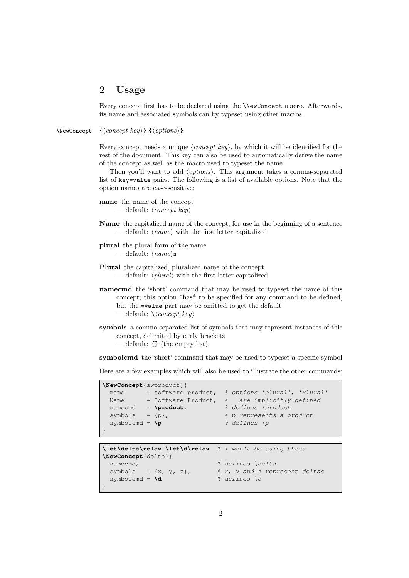## 2 Usage

Every concept first has to be declared using the \NewConcept macro. Afterwards, its name and associated symbols can by typeset using other macros.

\NewConcept  ${\langle concept~key\rangle} {\{\langle options\rangle\}}$ 

Every concept needs a unique  $\langle concept\ key\rangle$ , by which it will be identified for the rest of the document. This key can also be used to automatically derive the name of the concept as well as the macro used to typeset the name.

Then you'll want to add  $\langle options \rangle$ . This argument takes a comma-separated list of key=value pairs. The following is a list of available options. Note that the option names are case-sensitive:

```
name the name of the concept
      — default: \langle concept\;key\rangle
```
- Name the capitalized name of the concept, for use in the beginning of a sentence — default:  $\langle name \rangle$  with the first letter capitalized
- plural the plural form of the name — default:  $\langle name \rangle$ s
- Plural the capitalized, pluralized name of the concept — default:  $\langle plural \rangle$  with the first letter capitalized
- namecmd the 'short' command that may be used to typeset the name of this concept; this option \*has\* to be specified for any command to be defined, but the =value part may be omitted to get the default — default:  $\langle \langle \text{concept } \text{key} \rangle$
- symbols a comma-separated list of symbols that may represent instances of this concept, delimited by curly brackets — default: {} (the empty list)

symbolcmd the 'short' command that may be used to typeset a specific symbol

Here are a few examples which will also be used to illustrate the other commands:

| \NewConcept{swproduct}{  |  |               |  |                                                  |
|--------------------------|--|---------------|--|--------------------------------------------------|
| name                     |  |               |  | = software product, % options 'plural', 'Plural' |
| Name                     |  |               |  | = Software Product, % are implicitly defined     |
| namecmd                  |  | $=$ \product, |  | % defines \product                               |
| symbols = $\{p\}$ ,      |  |               |  | % p represents a product                         |
| symbolcmd = $\mathbf{p}$ |  |               |  | % defines \p                                     |
|                          |  |               |  |                                                  |

```
\let\delta\relax \let\d\relax % I won't be using these
\NewConcept{delta}{
    namecmd, \frac{1}{2} and \frac{1}{2} are \frac{1}{2} and \frac{1}{2} are \frac{1}{2} and \frac{1}{2} are \frac{1}{2} and \frac{1}{2} are \frac{1}{2} and \frac{1}{2} are \frac{1}{2} and \frac{1}{2} are \frac{1}{2} and \frac{1}{2} are \frac{1}{2} and \fracsymbols = \{x, y, z\}, \frac{2}{3} \frac{2}{3} \frac{2}{3} \frac{2}{3} \frac{2}{3} \frac{2}{3} and z represent deltas
    symbolcmd = \d \frac{1}{2} & defines \d
}
```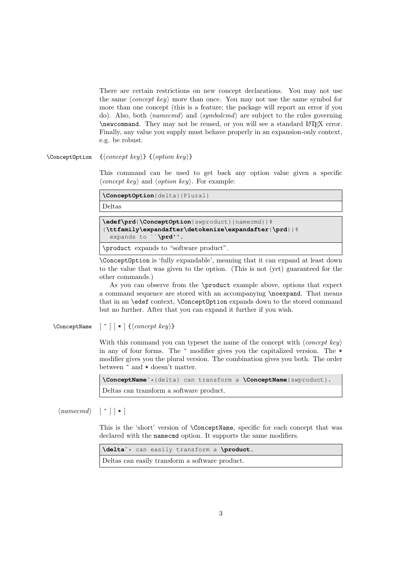There are certain restrictions on new concept declarations. You may not use the same  $\langle concept\; key \rangle$  more than once. You may not use the same symbol for more than one concept (this is a feature; the package will report an error if you do). Also, both  $\langle \textit{named} \rangle$  and  $\langle \textit{symbolcmd} \rangle$  are subject to the rules governing \newcommand. They may not be reused, or you will see a standard LATEX error. Finally, any value you supply must behave properly in an expansion-only context, e.g. be robust.

\ConceptOption { $\langle concept\ key\rangle$ } { $\langle option\ key\rangle$ }

This command can be used to get back any option value given a specific  $\langle concept\ key\rangle$  and  $\langle option\ key\rangle$ . For example:

**\ConceptOption**{delta}{Plural} Deltas **\edef\prd**{**\ConceptOption**{swproduct}{namecmd}}% {**\ttfamily\expandafter\detokenize\expandafter**{**\prd**}}% expands to ``**\prd**''. \product expands to "software product".

\ConceptOption is 'fully expandable', meaning that it can expand at least down to the value that was given to the option. (This is not (yet) guaranteed for the other commands.)

As you can observe from the \product example above, options that expect a command sequence are stored with an accompanying \noexpand. That means that in an \edef context, \ConceptOption expands down to the stored command but no further. After that you can expand it further if you wish.

\ConceptName  $\lceil \uparrow \rceil \lceil * \rceil$  {\concept key}}

With this command you can typeset the name of the concept with  $\langle concept\;key\rangle$ in any of four forms. The ^ modifier gives you the capitalized version. The \* modifier gives you the plural version. The combination gives you both. The order between ^ and \* doesn't matter.

**\ConceptName**ˆ\*{delta} can transform a **\ConceptName**{swproduct}. Deltas can transform a software product.

 $\langle \textit{named} \rangle \quad [\hat{\ } \cdot \] [\ * \]$ 

This is the 'short' version of \ConceptName, specific for each concept that was declared with the namecmd option. It supports the same modifiers.

**\delta**ˆ\* can easily transform a **\product**. Deltas can easily transform a software product.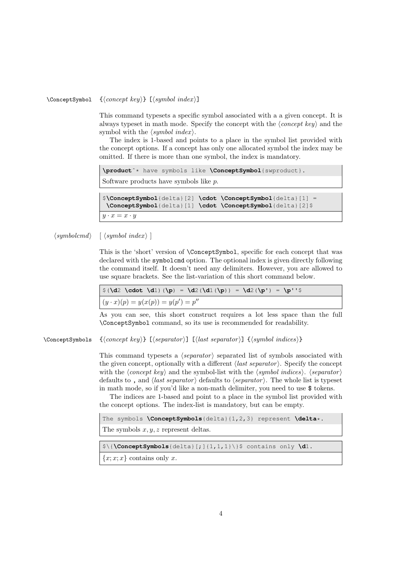#### $\text{ConceptSymbol} \quad {\text{concept key}} {\text{[symbol index]}}$

This command typesets a specific symbol associated with a a given concept. It is always typeset in math mode. Specify the concept with the  $\langle concept\; key \rangle$  and the symbol with the  $\langle symbol\ index \rangle$ .

The index is 1-based and points to a place in the symbol list provided with the concept options. If a concept has only one allocated symbol the index may be omitted. If there is more than one symbol, the index is mandatory.

**\product**ˆ\* have symbols like **\ConceptSymbol**{swproduct}. Software products have symbols like p. \$**\ConceptSymbol**{delta}[2] **\cdot \ConceptSymbol**{delta}[1] = **\ConceptSymbol**{delta}[1] **\cdot \ConceptSymbol**{delta}[2]\$  $y \cdot x = x \cdot y$ 

 $\langle symbolcmd \rangle$  [  $\langle symbol~index \rangle$  ]

This is the 'short' version of \ConceptSymbol, specific for each concept that was declared with the symbolcmd option. The optional index is given directly following the command itself. It doesn't need any delimiters. However, you are allowed to use square brackets. See the list-variation of this short command below.

| $\vert \S(\dagger) \cdots \dagger \dagger \rangle$ (\p) = \d2 (\d1 (\p) ) = \d2 (\p') = \p''\$ |
|------------------------------------------------------------------------------------------------|
| $(y \cdot x)(p) = y(x(p)) = y(p') = p''$                                                       |

As you can see, this short construct requires a lot less space than the full \ConceptSymbol command, so its use is recommended for readability.

\ConceptSymbols  $\{ \langle concept \; key \rangle\}$  [ $\langle segmentor \rangle$ ] [ $\langle last \; separation \rangle$ ]  $\{ \langle symbol \; indices \rangle\}$ 

This command typesets a  $\langle separator \rangle$  separated list of symbols associated with the given concept, optionally with a different  $\langle last\,\,separation\rangle$ . Specify the concept with the  $\langle concept\ key\rangle$  and the symbol-list with the  $\langle symbol\ indices\rangle$ .  $\langle separation\rangle$ defaults to, and  $\langle$ *last separator* $\rangle$  defaults to  $\langle$ *separator* $\rangle$ . The whole list is typeset in math mode, so if you'd like a non-math delimiter, you need to use \$ tokens.

The indices are 1-based and point to a place in the symbol list provided with the concept options. The index-list is mandatory, but can be empty.

The symbols **\ConceptSymbols**{delta}{1,2,3} represent **\delta**\*.

The symbols  $x, y, z$  represent deltas.

\$\{**\ConceptSymbols**{delta}[;]{1,1,1}\}\$ contains only **\d**1.

 ${x; x; x}$  contains only x.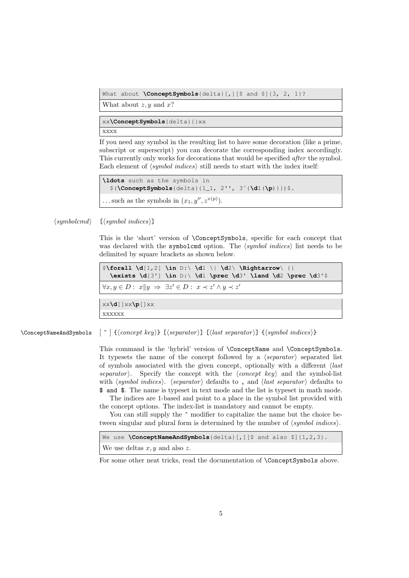What about **\ConceptSymbols**{delta}[, ][\$ and \$]{3, 2, 1}?

What about  $z, y$  and  $x$ ?

xx**\ConceptSymbols**{delta}{}xx xxxx

If you need any symbol in the resulting list to have some decoration (like a prime, subscript or superscript) you can decorate the corresponding index accordingly. This currently only works for decorations that would be specified *after* the symbol. Each element of  $\langle symbol\ indices \rangle$  still needs to start with the index itself:

```
\ldots such as the symbols in
  $(\ConceptSymbols{delta}{1_1, 2'', 3ˆ{\d1(\p)}})$.
... such as the symbols in (x_1, y'', z^{x(p)}).
```
 $\langle symbolcmd\rangle$  [ $\langle symbol~indices\rangle$ ]

This is the 'short' version of \ConceptSymbols, specific for each concept that was declared with the symbolcmd option. The  $\langle symbol\ indices \rangle$  list needs to be delimited by square brackets as shown below.

```
$\forall \d[1,2] \in D:\ \d1 \| \d2\ \Rightarrow\ {}
  \exists \d[3'] \in D:\ \d1 \prec \d3' \land \d2 \prec \d3'$
\forall x, y \in D: x \land y \Rightarrow \exists z' \in D: x \prec z' \land y \prec z'xx\d[]xx\p[]xx
xxxxxx
```
 $\Comcept$ NameAndSymbols  $\lceil \cdot \rceil$  { $\cong$  {concept key} [ $\cong$  [(separator)] [(last separator)] { $\cong$  {symbol indices}}

This command is the 'hybrid' version of \ConceptName and \ConceptSymbols. It typesets the name of the concept followed by a  $\langle separator \rangle$  separated list of symbols associated with the given concept, optionally with a different  $\langle last \rangle$ separator). Specify the concept with the  $\langle concept\;key\rangle$  and the symbol-list with  $\langle symbol\ indices \rangle$ .  $\langle separation\rangle$  defaults to, and  $\langle last\ separation\rangle$  defaults to \$ and \$. The name is typeset in text mode and the list is typeset in math mode.

The indices are 1-based and point to a place in the symbol list provided with the concept options. The index-list is mandatory and cannot be empty.

You can still supply the  $\hat{\ }$  modifier to capitalize the name but the choice between singular and plural form is determined by the number of  $\langle symbol indices \rangle$ .

```
We use \ConceptNameAndSymbols{delta}[, ][$ and also $]{1,2,3}.
We use deltas x, y and also z.
```
For some other neat tricks, read the documentation of **\ConceptSymbols** above.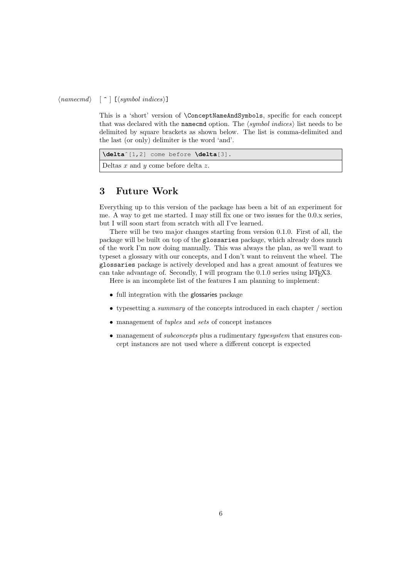#### $\langle \text{namecmd} \rangle \quad [\hat{\ } \; ] \; [\langle \text{symbol indices} \rangle]$

This is a 'short' version of \ConceptNameAndSymbols, specific for each concept that was declared with the namecmd option. The  $\langle symbol\ indices \rangle$  list needs to be delimited by square brackets as shown below. The list is comma-delimited and the last (or only) delimiter is the word 'and'.

| $\delta$ /delta <sup>2</sup> [1,2] come before $\delta$ /delta[3]. |
|--------------------------------------------------------------------|
| Deltas x and y come before delta z.                                |

## 3 Future Work

Everything up to this version of the package has been a bit of an experiment for me. A way to get me started. I may still fix one or two issues for the 0.0.x series, but I will soon start from scratch with all I've learned.

There will be two major changes starting from version 0.1.0. First of all, the package will be built on top of the glossaries package, which already does much of the work I'm now doing manually. This was always the plan, as we'll want to typeset a glossary with our concepts, and I don't want to reinvent the wheel. The glossaries package is actively developed and has a great amount of features we can take advantage of. Secondly, I will program the 0.1.0 series using LAT<sub>EX</sub>3.

Here is an incomplete list of the features I am planning to implement:

- full integration with the glossaries package
- typesetting a summary of the concepts introduced in each chapter / section
- management of tuples and sets of concept instances
- management of *subconcepts* plus a rudimentary typesystem that ensures concept instances are not used where a different concept is expected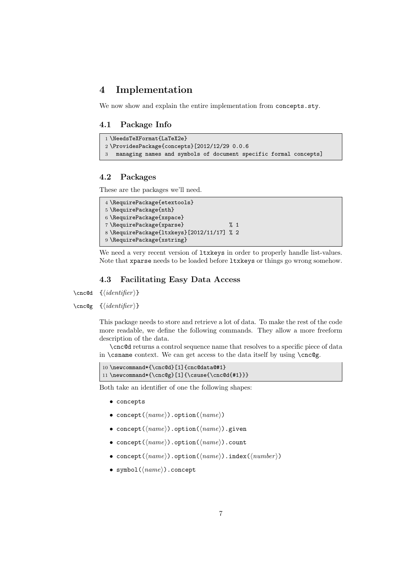## 4 Implementation

We now show and explain the entire implementation from concepts.sty.

### 4.1 Package Info

```
1 \NeedsTeXFormat{LaTeX2e}
2 \ProvidesPackage{concepts}[2012/12/29 0.0.6
3 managing names and symbols of document specific formal concepts]
```
### 4.2 Packages

These are the packages we'll need.

```
4 \RequirePackage{etextools}
5 \RequirePackage{nth}
6 \RequirePackage{xspace}
7 \RequirePackage{xparse} % 1
8 \RequirePackage{ltxkeys}[2012/11/17] % 2
9 \RequirePackage{xstring}
```
We need a very recent version of  $l$ txkeys in order to properly handle list-values. Note that xparse needs to be loaded before ltxkeys or things go wrong somehow.

### 4.3 Facilitating Easy Data Access

 $\csc$ d { $\langle identifier \rangle$ }

 $\csc\{identity\}$ 

This package needs to store and retrieve a lot of data. To make the rest of the code more readable, we define the following commands. They allow a more freeform description of the data.

\cnc@d returns a control sequence name that resolves to a specific piece of data in \csname context. We can get access to the data itself by using \cnc@g.

```
10 \newcommand*{\cnc@d}[1]{cnc@data@#1}
11 \newcommand*{\cnc@g}[1]{\csuse{\cnc@d{#1}}}
```
Both take an identifier of one the following shapes:

- concepts
- concept( $\langle name \rangle$ ).option( $\langle name \rangle$ )
- concept( $\langle name \rangle$ ).option( $\langle name \rangle$ ).given
- concept( $\langle name \rangle$ ).option( $\langle name \rangle$ ).count
- concept( $\langle name \rangle$ ).option( $\langle name \rangle$ ).index( $\langle number \rangle$ )
- symbol $(\langle name \rangle)$ .concept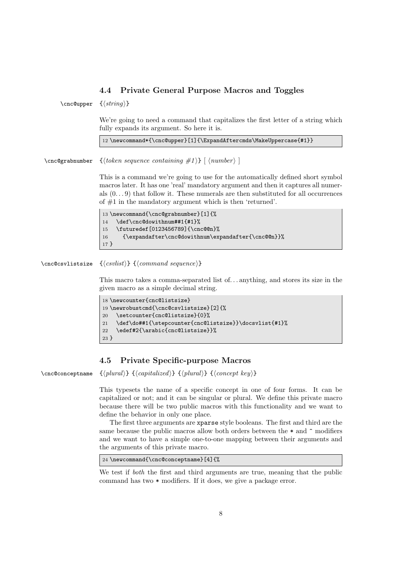### 4.4 Private General Purpose Macros and Toggles

 $\csc$ Qupper  $\{\langle string \rangle\}$ 

We're going to need a command that capitalizes the first letter of a string which fully expands its argument. So here it is.

12 \newcommand\*{\cnc@upper}[1]{\ExpandAftercmds\MakeUppercase{#1}}

\cnc@grabnumber  $\{ \{token\ sequence\ containing\ #1 \} \ [\ \langle number \rangle \ ]$ 

This is a command we're going to use for the automatically defined short symbol macros later. It has one 'real' mandatory argument and then it captures all numerals  $(0, ., 9)$  that follow it. These numerals are then substituted for all occurrences of #1 in the mandatory argument which is then 'returned'.

```
13 \newcommand{\cnc@grabnumber}[1]{%
14 \def\cnc@dowithnum##1{#1}%
15 \futuredef[0123456789]{\cnc@@n}%
16 {\expandafter\cnc@dowithnum\expandafter{\cnc@@n}}%
17 }
```
#### $\csc{svlistsize} {\langle \cos{h} \rangle } {\langle \cos{m} \cos{h} \rangle }$

This macro takes a comma-separated list of. . . anything, and stores its size in the given macro as a simple decimal string.

| 18 \newcounter{cnc@listsize}                                |  |  |  |
|-------------------------------------------------------------|--|--|--|
| 19 \newrobustcmd{\cnc@csvlistsize}[2]{%                     |  |  |  |
| \setcounter{cnc@listsize}{0}%<br>20                         |  |  |  |
| \def\do##1{\stepcounter{cnc@listsize}}\docsvlist{#1}%<br>21 |  |  |  |
| \edef#2{\arabic{cnc@listsize}}%<br>22                       |  |  |  |
| $23 \}$                                                     |  |  |  |

### 4.5 Private Specific-purpose Macros

 $\csc\operatorname{conceptname} {\langle plural \rangle} {\langle capitalized \rangle} {\langle plural \rangle} {\langleconcept\ key \rangle}$ 

This typesets the name of a specific concept in one of four forms. It can be capitalized or not; and it can be singular or plural. We define this private macro because there will be two public macros with this functionality and we want to define the behavior in only one place.

The first three arguments are xparse style booleans. The first and third are the same because the public macros allow both orders between the  $*$  and  $\hat{ }$  modifiers and we want to have a simple one-to-one mapping between their arguments and the arguments of this private macro.

24 \newcommand{\cnc@conceptname}[4]{%

We test if *both* the first and third arguments are true, meaning that the public command has two \* modifiers. If it does, we give a package error.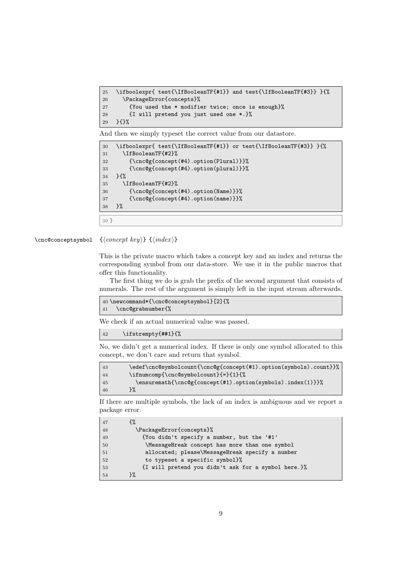```
25 \ifboolexpr{ test{\IfBooleanTF{#1}} and test{\IfBooleanTF{#3}} }{%
26 \PackageError{concepts}%
27 {You used the * modifier twice; once is enough}%
28 {I will pretend you just used one *.}%
29 }{}%
```
And then we simply typeset the correct value from our datastore.

```
30 \ifboolexpr{ test{\IfBooleanTF{#1}} or test{\IfBooleanTF{#3}} }{%
31 \IfBooleanTF{#2}%
32 {\cnc@g{concept(#4).option(Plural)}}%
33 {\cnc@g{concept(#4).option(plural)}}%
34 }{%
35 \IfBooleanTF{#2}%
36 {\cnc@g{concept(#4).option(Name)}}%
37 {\cnc@g{concept(#4).option(name)}}%
38 }%
39 }
```
 $\csc\os\{conceptsymbol \{concept\ key\} \}$  { $\{index\}$ }

This is the private macro which takes a concept key and an index and returns the corresponding symbol from our data-store. We use it in the public macros that offer this functionality.

The first thing we do is grab the prefix of the second argument that consists of numerals. The rest of the argument is simply left in the input stream afterwards.

```
40 \newcommand*{\cnc@conceptsymbol}[2]{%
41 \cnc@grabnumber{%
```
We check if an actual numerical value was passed.

\ifstrempty{##1}{%

No, we didn't get a numerical index. If there is only one symbol allocated to this concept, we don't care and return that symbol.

```
43 \edef\cnc@symbolcount{\cnc@g{concept(#1).option(symbols).count}}%
44 \ifnumcomp{\cnc@symbolcount}{=}{1}{%
45 \ensuremath{\cnc@g{concept(#1).option(symbols).index(1)}}%
46 }%
```
If there are multiple symbols, the lack of an index is ambiguous and we report a package error.

| 47 |                                                     |
|----|-----------------------------------------------------|
| 48 | \PackageError{concepts}%                            |
| 49 | {You didn't specify a number, but the '#1'          |
| 50 | \MessageBreak concept has more than one symbol      |
| 51 | allocated; please\MessageBreak specify a number     |
| 52 | to typeset a specific symbol}%                      |
| 53 | {I will pretend you didn't ask for a symbol here.}% |
| 54 | ጉ%                                                  |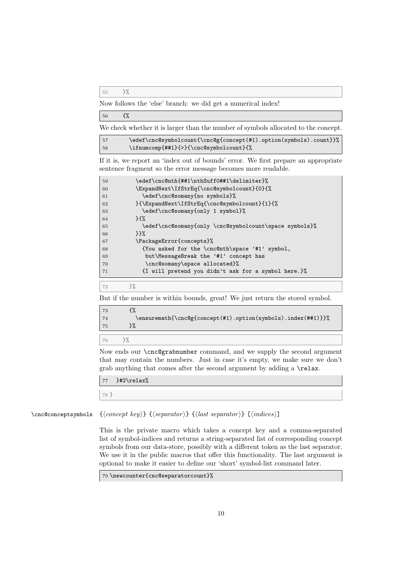}%

Now follows the 'else' branch: we did get a numerical index!

| 56 | €% |
|----|----|
|----|----|

We check whether it is larger than the number of symbols allocated to the concept.

| 157 | \edef\cnc@symbolcount{\cnc@g{concept(#1).option(symbols).count}}% |
|-----|-------------------------------------------------------------------|
| 58  | \ifnumcomp{##1}{>}{\cnc@symbolcount}{%                            |

If it is, we report an 'index out of bounds' error. We first prepare an appropriate sentence fragment so the error message becomes more readable.

| 59 | \edef\cnc@nth{##1\nthSuff0##1\delimiter}%                      |
|----|----------------------------------------------------------------|
| 60 | \ExpandNext\IfStrEq{\cnc@symbolcount}{0}{%                     |
| 61 | \edef\cnc@somany{no symbols}%                                  |
| 62 | }{\ExpandNext\IfStrEq{\cnc@symbolcount}{1}{%                   |
| 63 | \edef\cnc@somany{only 1 symbol}%                               |
| 64 | $H^{\prime\prime}$                                             |
| 65 | \edef\cnc@somany{only \cnc@symbolcount\space symbols}%         |
| 66 | ንን%                                                            |
| 67 | \PackageError{concepts}%                                       |
| 68 | {You asked for the \cnc@nth\space '#1' symbol,                 |
| 69 | but\MessageBreak the '#1' concept has                          |
| 70 | \cnc@somany\space allocated}%                                  |
| 71 | $\{I \text{ will pretend you didn't ask for a symbol here.}\}$ |
|    |                                                                |

 $72 \t}$  }%

But if the number is within bounds, great! We just return the stored symbol.

| 73 |                                                              |
|----|--------------------------------------------------------------|
| 74 | \ensuremath{\cnc@g{concept(#1).option(symbols).index(##1)}}% |
| 75 |                                                              |
|    |                                                              |
| 76 |                                                              |

Now ends our \cnc@grabnumber command, and we supply the second argument that may contain the numbers. Just in case it's empty, we make sure we don't grab anything that comes after the second argument by adding a \relax.

|    | $77$ }#2\relax% |
|----|-----------------|
|    |                 |
| 78 |                 |
|    |                 |

\cnc@conceptsymbols  ${\langle concept \ key \rangle} {\langle separator \rangle} {\langle last \ separator \rangle} [\langle indices \rangle]$ 

This is the private macro which takes a concept key and a comma-separated list of symbol-indices and returns a string-separated list of corresponding concept symbols from our data-store, possibly with a different token as the last separator. We use it in the public macros that offer this functionality. The last argument is optional to make it easier to define our 'short' symbol-list command later.

\newcounter{cnc@separatorcount}%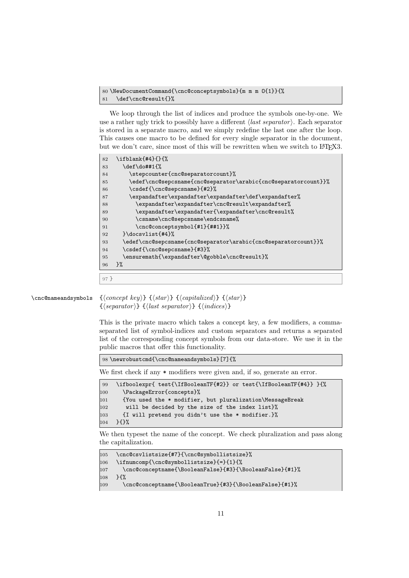```
80 \NewDocumentCommand{\cnc@conceptsymbols}{m m m O{1}}{%
81 \def\cnc@result{}%
```
We loop through the list of indices and produce the symbols one-by-one. We use a rather ugly trick to possibly have a different  $\langle last\, separator \rangle$ . Each separator is stored in a separate macro, and we simply redefine the last one after the loop. This causes one macro to be defined for every single separator in the document, but we don't care, since most of this will be rewritten when we switch to LAT<sub>E</sub>X3.

| 82     | \ifblank{#4}{}{%                                               |
|--------|----------------------------------------------------------------|
| 83     | \def\do##1{%                                                   |
| 84     | \stepcounter{cnc@separatorcount}%                              |
| 85     | \edef\cnc@sepcsname{cnc@separator\arabic{cnc@separatorcount}}% |
| 86     | \csdef{\cnc@sepcsname}{#2}%                                    |
| 87     | \expandafter\expandafter\expandafter\def\expandafter%          |
| 88     | \expandafter\expandafter\cnc@result\expandafter%               |
| 89     | \expandafter\expandafter{\expandafter\cnc@result%              |
| 90     | \csname\cnc@sepcsname\endcsname%                               |
| 91     | \cnc@conceptsymbol{#1}{##1}}%                                  |
| 92     | }\docsvlist{#4}%                                               |
| 93     | \edef\cnc@sepcsname{cnc@separator\arabic{cnc@separatorcount}}% |
| 94     | \csdef{\cnc@sepcsname}{#3}%                                    |
| 95     | \ensuremath{\expandafter\@gobble\cnc@result}%                  |
| 96     | $\frac{1}{2}$                                                  |
|        |                                                                |
| $97$ } |                                                                |

```
\cnc@nameandsymbols {\{concept\ key\} {\{star\}} {\{capitalized\}} {\{star\}}
```
 $\{\langle separator \rangle\} \ {\langle last\ separator \rangle\} \ {\langle indices \rangle\}$ 

This is the private macro which takes a concept key, a few modifiers, a commaseparated list of symbol-indices and custom separators and returns a separated list of the corresponding concept symbols from our data-store. We use it in the public macros that offer this functionality.

\newrobustcmd{\cnc@nameandsymbols}[7]{%

We first check if any  $*$  modifiers were given and, if so, generate an error.

| -99 | \ifboolexpr{ test{\IfBooleanTF{#2}} or test{\IfBooleanTF{#4}} }{% |
|-----|-------------------------------------------------------------------|
| 100 | \PackageError{concepts}%                                          |
| 101 | {You used the * modifier, but pluralization\MessageBreak          |
| 102 | will be decided by the size of the index list}%                   |
| 103 | $\{I \text{ will pretend you didn't use the * modifier.}\}$       |
| 104 | 75%                                                               |

We then typeset the name of the concept. We check pluralization and pass along the capitalization.

```
105 \cnc@csvlistsize{#7}{\cnc@symbollistsize}%
106 \ifnumcomp{\cnc@symbollistsize}{=}{1}{%
107 \cnc@conceptname{\BooleanFalse}{#3}{\BooleanFalse}{#1}%
108 }{%
109 \cnc@conceptname{\BooleanTrue}{#3}{\BooleanFalse}{#1}%
```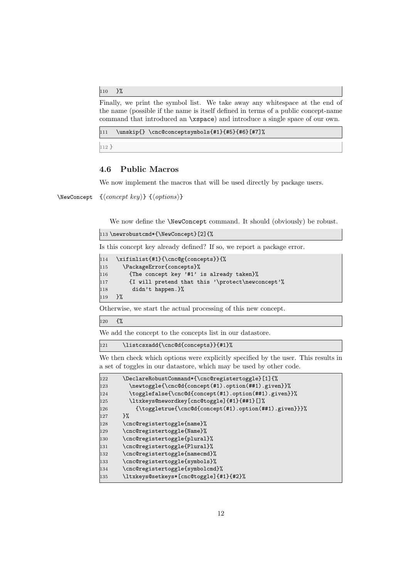110 }%

Finally, we print the symbol list. We take away any whitespace at the end of the name (possible if the name is itself defined in terms of a public concept-name command that introduced an \xspace) and introduce a single space of our own.

111 \unskip{} \cnc@conceptsymbols{#1}{#5}{#6}[#7]%

112 }

### 4.6 Public Macros

We now implement the macros that will be used directly by package users.

\NewConcept  ${\langle concept~key\rangle} {\{\langle options\rangle\}}$ 

We now define the **\NewConcept** command. It should (obviously) be robust.

113 \newrobustcmd\*{\NewConcept}[2]{%

Is this concept key already defined? If so, we report a package error.

```
114 \xifinlist{#1}{\cnc@g{concepts}}{%
115 \PackageError{concepts}%
116 {The concept key '#1' is already taken}%
117 {I will pretend that this '\protect\newconcept'%
118 didn't happen.}%<br>119 }%
119
```
Otherwise, we start the actual processing of this new concept.

120 {%

We add the concept to the concepts list in our datastore.

121 \listcsxadd{\cnc@d{concepts}}{#1}%

We then check which options were explicitly specified by the user. This results in a set of toggles in our datastore, which may be used by other code.

| 122 | \DeclareRobustCommand*{\cnc@registertoggle}[1]{%      |
|-----|-------------------------------------------------------|
| 123 | \newtoggle{\cnc@d{concept(#1).option(##1).given}}%    |
| 124 | \togglefalse{\cnc@d{concept(#1).option(##1).given}}%  |
| 125 | \ltxkeys@newordkey[cnc@toggle]{#1}{##1}[]%            |
| 126 | {\toggletrue{\cnc@d{concept(#1).option(##1).given}}}% |
| 127 | ጉ%                                                    |
| 128 | \cnc@registertoggle{name}%                            |
| 129 | \cnc@registertoggle{Name}%                            |
| 130 | \cnc@registertoggle{plural}%                          |
| 131 | \cnc@registertoggle{Plural}%                          |
| 132 | \cnc@registertoggle{namecmd}%                         |
| 133 | \cnc@registertoggle{symbols}%                         |
| 134 | \cnc@registertoggle{symbolcmd}%                       |
| 135 | \ltxkeys@setkeys*[cnc@toggle]{#1}{#2}%                |
|     |                                                       |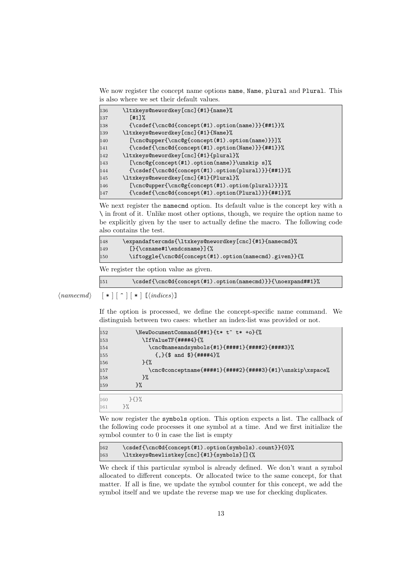We now register the concept name options name, Name, plural and Plural. This is also where we set their default values.

| 136 | \ltxkeys@newordkey[cnc]{#1}{name}%                |  |
|-----|---------------------------------------------------|--|
| 137 | $[41]$ %                                          |  |
| 138 | ${\csc{(\csc{t + 1)}.\option(name)} {\#1}}\$      |  |
| 139 | \ltxkeys@newordkey[cnc]{#1}{Name}%                |  |
| 140 | [\cnc@upper{\cnc@g{concept(#1).option(name)}}]%   |  |
| 141 | $\{\csc{(\csc{t#1).option(Name)}\}^{#1}}\}\$      |  |
| 142 | \ltxkeys@newordkey[cnc]{#1}{plural}%              |  |
| 143 | $[\cnc@g{concept(\#1).option(name)}\unskip s]$    |  |
| 144 | ${\csc{(\csc{t1).option(plural)}{\#1}}\}\$        |  |
| 145 | \ltxkeys@newordkey[cnc]{#1}{Plural}%              |  |
| 146 | [\cnc@upper{\cnc@g{concept(#1).option(plural)}}]% |  |
| 147 | ${\csc{(\csc{t#1).option(Plural)}}}{##1}}$        |  |

We next register the namecmd option. Its default value is the concept key with a \ in front of it. Unlike most other options, though, we require the option name to be explicitly given by the user to actually define the macro. The following code also contains the test.

| 148 | \expandaftercmds{\ltxkeys@newordkey[cnc]{#1}{namecmd}% |
|-----|--------------------------------------------------------|
| 149 | $[\} {\cos name #1\endcos name}]$                      |
| 150 | \iftoggle{\cnc@d{concept(#1).option(namecmd).given}}{% |

We register the option value as given.

\csdef{\cnc@d{concept(#1).option(namecmd)}}{\noexpand##1}%

 $\langle \textit{namecmd} \rangle \quad [ * ] [ ^* ] [ * ] [ \langle \textit{indices} \rangle ]$ 

If the option is processed, we define the concept-specific name command. We distinguish between two cases: whether an index-list was provided or not.

| 152 |                    | \NewDocumentCommand{##1}{t* t^ t* +o}{%                  |
|-----|--------------------|----------------------------------------------------------|
| 153 |                    | \IfValueTF{####4}{%                                      |
| 154 |                    | \cnc@nameandsymbols{#1}{####1}{####2}{####3}%            |
| 155 |                    | $\{.\}$ {\$ and \$}{####4}%                              |
| 156 | $H^{\prime\prime}$ |                                                          |
| 157 |                    | \cnc@conceptname{####1}{####2}{####3}{#1}\unskip\xspace% |
| 158 | ን%                 |                                                          |
| 159 | ን%                 |                                                          |
|     |                    |                                                          |
| 160 | $7.5\%$            |                                                          |
| 161 | $\frac{1}{2}$      |                                                          |

We now register the symbols option. This option expects a list. The callback of the following code processes it one symbol at a time. And we first initialize the symbol counter to 0 in case the list is empty

162 \csdef{\cnc@d{concept(#1).option(symbols).count}}{0}% \ltxkeys@newlistkey[cnc]{#1}{symbols}[]{%

We check if this particular symbol is already defined. We don't want a symbol allocated to different concepts. Or allocated twice to the same concept, for that matter. If all is fine, we update the symbol counter for this concept, we add the symbol itself and we update the reverse map we use for checking duplicates.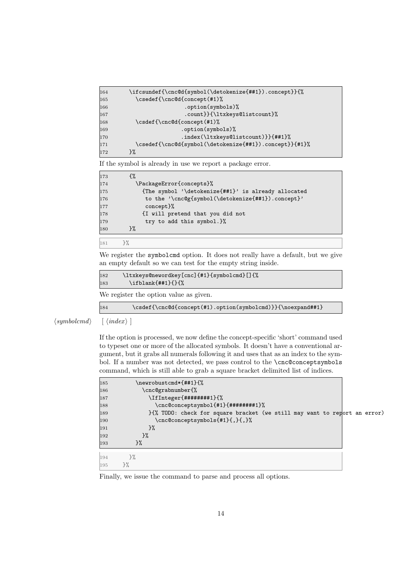| 164 | \ifcsundef{\cnc@d{symbol(\detokenize{##1}).concept}}{% |
|-----|--------------------------------------------------------|
| 165 | \csedef{\cnc@d{concept(#1)%                            |
| 166 | .option(symbols)%                                      |
| 167 | .count}}{\ltxkeys@listcount}%                          |
| 168 | \csdef{\cnc@d{concept(#1)%                             |
| 169 | .option(symbols)%                                      |
| 170 | .index(\ltxkeys@listcount)}}{##1}%                     |
| 171 | \csedef{\cnc@d{symbol(\detokenize{##1}).concept}}{#1}% |
| 172 | }%                                                     |
|     |                                                        |

If the symbol is already in use we report a package error.

| \PackageError{concepts}%<br>174                            |  |
|------------------------------------------------------------|--|
| {The symbol '\detokenize{##1}' is already allocated<br>175 |  |
| to the '\cnc@g{symbol(\detokenize{##1}).concept}'<br>176   |  |
| concept}%<br>177                                           |  |
| {I will pretend that you did not<br>178                    |  |
| try to add this symbol. $\frac{1}{b}$<br>179               |  |
| ጉ%<br>180                                                  |  |

#### }%

We register the symbolcmd option. It does not really have a default, but we give an empty default so we can test for the empty string inside.

```
182 \ltxkeys@newordkey[cnc]{#1}{symbolcmd}[]{%
183 \ifblank{##1}{}{%
```
We register the option value as given.

| 184 |  | $\csc{(\csc{t+1).option(symbolcmd)}}\$ |
|-----|--|----------------------------------------|
|-----|--|----------------------------------------|

 $\langle symbolcmd \rangle$  [  $\langle index \rangle$  ]

If the option is processed, we now define the concept-specific 'short' command used to typeset one or more of the allocated symbols. It doesn't have a conventional argument, but it grabs all numerals following it and uses that as an index to the symbol. If a number was not detected, we pass control to the \cnc@conceptsymbols command, which is still able to grab a square bracket delimited list of indices.

| 185 | \newrobustcmd*{##1}{%   |                                                                            |  |
|-----|-------------------------|----------------------------------------------------------------------------|--|
| 186 | \cnc@grabnumber{%       |                                                                            |  |
| 187 | \IfInteger{########1}{% |                                                                            |  |
| 188 |                         | \cnc@conceptsymbol{#1}{########1}%                                         |  |
| 189 |                         | }{%, TODO: check for square bracket (we still may want to report an error) |  |
| 190 |                         | \cnc@conceptsymbols{#1}{,}{,}%                                             |  |
| 191 | $3\%$                   |                                                                            |  |
| 192 | }%                      |                                                                            |  |
| 193 | }‰                      |                                                                            |  |
| 194 | $\}$ %                  |                                                                            |  |
| 195 | 3%                      |                                                                            |  |

Finally, we issue the command to parse and process all options.